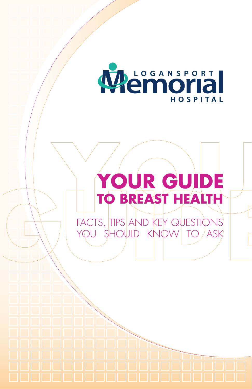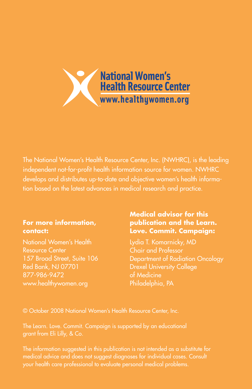

The National Women's Health Resource Center, Inc. (NWHRC), is the leading independent not-for-profit health information source for women. NWHRC develops and distributes up-to-date and objective women's health information based on the latest advances in medical research and practice.

#### **For more information, contact:**

National Women's Health Resource Center 157 Broad Street, Suite 106 Red Bank, NJ 07701 877-986-9472 www.healthywomen.org

### **Medical advisor for this publication and the Learn. Love. Commit. Campaign:**

Lydia T. Komarnicky, MD Chair and Professor Department of Radiation Oncology Drexel University College of Medicine Philadelphia, PA

© October 2008 National Women's Health Resource Center, Inc.

grant from Eli Lilly, & Co.

The information suggested in this publication is not intended as a substitute for medical advice and does not suggest diagnoses for individual cases. Consult your health care professional to evaluate personal medical problems.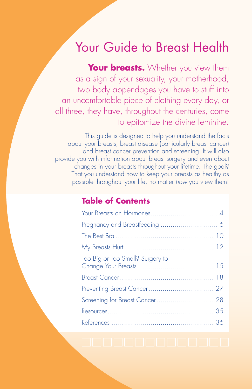# Your Guide to Breast Health

**Your breasts.** Whether you view them as a sign of your sexuality, your motherhood, two body appendages you have to stuff into an uncomfortable piece of clothing every day, or all three, they have, throughout the centuries, come to epitomize the divine feminine.

This guide is designed to help you understand the facts about your breasts, breast disease (particularly breast cancer) and breast cancer prevention and screening. It will also provide you with information about breast surgery and even about changes in your breasts throughout your lifetime. The goal? That you understand how to keep your breasts as healthy as possible throughout your life, no matter *how* you view them!

# **Table of Contents**

| Too Big or Too Small? Surgery to |
|----------------------------------|
|                                  |
|                                  |
|                                  |
|                                  |
|                                  |
|                                  |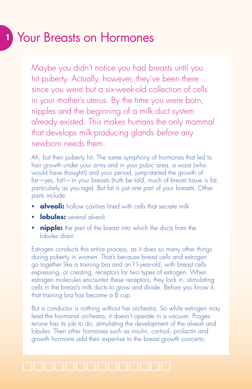# **<sup>1</sup>** Your Breasts on Hormones

Maybe you didn't notice you had breasts until you hit puberty. Actually, however, they've been there since you were but a six-week-old collection of cells in your mother's uterus. By the time you were born, nipples and the beginning of a milk duct system already existed. This makes humans the only mammal that develops milk-producing glands *before* any newborn needs them.

Ah, but then puberty hit. The same symphony of hormones that led to hair growth under your arms and in your pubic area, a waist (who would have thought!) and your period, jump-started the growth of fat—yes, fat!—in your breasts (truth be told, much of breast tissue is fat, particularly as you age). But fat is just one part of your breasts. Other parts include:

- **alveoli:** hollow cavities lined with cells that secrete milk
- **lobules:** several alveoli
- **nipple:** the part of the breast into which the ducts from the lobules drain

Estrogen conducts this entire process, as it does so many other things during puberty in women. That's because breast cells and estrogen go together like a training bra and an 11-year-old, with breast cells expressing, or creating, receptors for two types of estrogen. When estrogen molecules encounter these receptors, they lock in, stimulating cells in the breast's milk ducts to grow and divide. Before you know it, that training bra has become a B cup.

But a conductor is nothing without her orchestra. So while estrogen may lead the hormonal orchestra, it doesn't operate in a vacuum. Progesterone has its job to do, stimulating the development of the alveoli and lobules. Then other hormones such as insulin, cortisol, prolactin and growth hormone add their expertise to the breast growth concerto.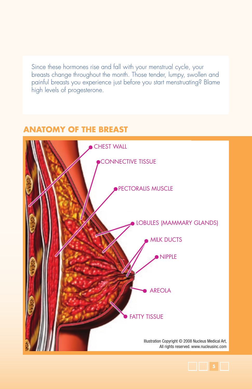Since these hormones rise and fall with your menstrual cycle, your breasts change throughout the month. Those tender, lumpy, swollen and painful breasts you experience just before you start menstruating? Blame high levels of progesterone.

# **ANATOMY OF THE BREAST**



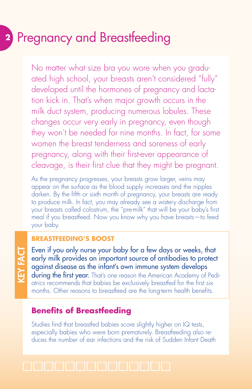# **<sup>2</sup>** Pregnancy and Breastfeeding

No matter what size bra you wore when you graduated high school, your breasts aren't considered "fully" developed until the hormones of pregnancy and lactation kick in. That's when major growth occurs in the milk duct system, producing numerous lobules. These changes occur very early in pregnancy, even though they won't be needed for nine months. In fact, for some women the breast tenderness and soreness of early pregnancy, along with their first-ever appearance of cleavage, is their first clue that they might be pregnant.

As the pregnancy progresses, your breasts grow larger, veins may appear on the surface as the blood supply increases and the nipples darken. By the fifth or sixth month of pregnancy, your breasts are ready to produce milk. In fact, you may already see a watery discharge from your breasts called colostrum, the "pre-milk" that will be your baby's first meal if you breastfeed. Now you know why you have breasts—to feed your baby.

### **Breastfeeding's boost**

KEY FACT **KEY FACT** 

Even if you only nurse your baby for a few days or weeks, that early milk provides an important source of antibodies to protect against disease as the infant's own immune system develops during the first year. That's one reason the American Academy of Pediatrics recommends that babies be exclusively breastfed for the first six months. Other reasons to breastfeed are the long-term health benefits.

# **Benefits of Breastfeeding**

Studies find that breastfed babies score slightly higher on IQ tests, especially babies who were born prematurely. Breastfeeding also reduces the number of ear infections and the risk of Sudden Infant Death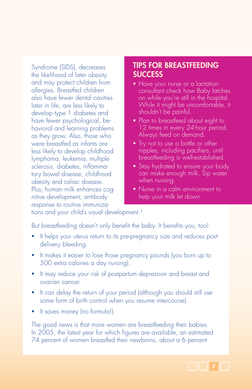Syndrome (SIDS), decreases the likelihood of later obesity and may protect children from allergies. Breastfed children also have fewer dental cavities later in life, are less likely to develop type 1 diabetes and have fewer psychological, behavioral and learning problems as they grow. Also, those who were breastfed as infants are less likely to develop childhood lymphoma, leukemia, multiple sclerosis, diabetes, inflammatory bowel disease, childhood obesity and celiac disease. Plus, human milk enhances cognitive development, antibody response to routine immuniza-

## TIPS FOR BREASTFEEDING **SUCCESS**

- Have your nurse or a lactation consultant check how Baby latches on while you're still in the hospital. While it might be uncomfortable, it shouldn't be painful.
- Plan to breastfeed about eight to 12 times in every 24-hour period. Always feed on demand.
- **Try not to use a bottle or other** nipples, including pacifiers, until breastfeeding is well-established.
- **Stay hydrated to ensure your body** can make enough milk. Sip water when nursing.
- Nurse in a calm environment to help your milk let down.

tions and your child's visual development.<sup>1</sup>

But breastfeeding doesn't only benefit the baby. It benefits you, too!

- It helps your uterus return to its pre-pregnancy size and reduces postdelivery bleeding.
- It makes it easier to lose those pregnancy pounds (you burn up to 500 extra calories a day nursing).
- It may reduce your risk of postpartum depression and breast and ovarian cancer.
- It can delay the return of your period (although you should still use some form of birth control when you resume intercourse).
- It saves money (no formula!).

The good news is that more women are breastfeeding their babies. In 2005, the latest year for which figures are available, an estimated 74 percent of women breastfed their newborns, about a 6 percent

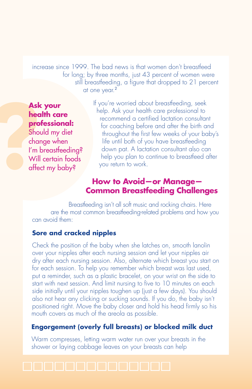increase since 1999. The bad news is that women don't breastfeed for long; by three months, just 43 percent of women were still breastfeeding, a figure that dropped to 21 percent at one year.<sup>2</sup>

# **Ask your health care professional:**

Asl<br>
hec<br>
pro<br>
Sho<br>
cha<br>
l'm<br>
Wil<br>
dife Should my diet change when I'm breastfeeding? Will certain foods affect my baby?

If you're worried about breastfeeding, seek help. Ask your health care professional to recommend a certified lactation consultant for coaching before and after the birth and throughout the first few weeks of your baby's life until both of you have breastfeeding down pat. A lactation consultant also can help you plan to continue to breastfeed after you return to work.

# **How to Avoid—or Manage— Common Breastfeeding Challenges**

Breastfeeding isn't all soft music and rocking chairs. Here are the most common breastfeeding-related problems and how you can avoid them:

### **Sore and cracked nipples**

Check the position of the baby when she latches on, smooth lanolin over your nipples after each nursing session and let your nipples air dry after each nursing session. Also, alternate which breast you start on for each session. To help you remember which breast was last used, put a reminder, such as a plastic bracelet, on your wrist on the side to start with next session. And limit nursing to five to 10 minutes on each side initially until your nipples toughen up (just a few days). You should also not hear any clicking or sucking sounds. If you do, the baby isn't positioned right. Move the baby closer and hold his head firmly so his mouth covers as much of the areola as possible.

### **Engorgement (overly full breasts) or blocked milk duct**

Warm compresses, letting warm water run over your breasts in the shower or laying cabbage leaves on your breasts can help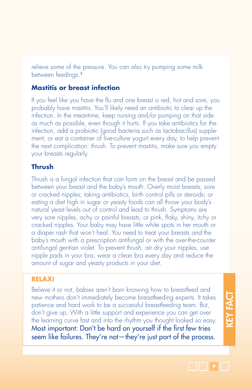relieve some of the pressure. You can also try pumping some milk between feedings.<sup>3</sup>

### **Mastitis or breast infection**

If you feel like you have the flu and one breast is red, hot and sore, you probably have mastitis. You'll likely need an antibiotic to clear up the infection. In the meantime, keep nursing and/or pumping on that side as much as possible, even though it hurts. If you take antibiotics for the infection, add a probiotic (good bacteria such as lactobacillus) supplement, or eat a container of live-culture yogurt every day, to help prevent the next complication: thrush. To prevent mastitis, make sure you empty your breasts regularly.

### **Thrush**

Thrush is a fungal infection that can form on the breast and be passed between your breast and the baby's mouth. Overly moist breasts; sore or cracked nipples; taking antibiotics, birth control pills or steroids; or eating a diet high in sugar or yeasty foods can all throw your body's natural yeast levels out of control and lead to thrush. Symptoms are very sore nipples, achy or painful breasts, or pink, flaky, shiny, itchy or cracked nipples. Your baby may have little white spots in her mouth or a diaper rash that won't heal. You need to treat your breasts *and* the baby's mouth with a prescription antifungal or with the over-the-counter antifungal gentian violet. To prevent thrush, air dry your nipples, use nipple pads in your bra, wear a clean bra every day and reduce the amount of sugar and yeasty products in your diet.

#### **Relax!**

Believe it or not, babies aren't born knowing how to breastfeed and new mothers don't immediately become breastfeeding experts. It takes patience and hard work to be a successful breastfeeding team. But, don't give up. With a little support and experience you can get over the learning curve fast and into the rhythm you thought looked so easy. Most important: Don't be hard on yourself if the first few tries seem like failures. They're not—they're just part of the process.

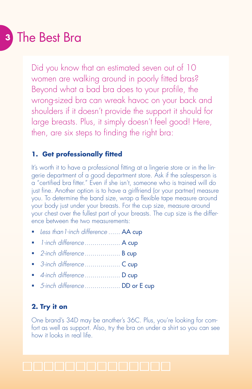# **<sup>3</sup>** The Best Bra

Did you know that an estimated seven out of 10 women are walking around in poorly fitted bras? Beyond what a bad bra does to your profile, the wrong-sized bra can wreak havoc on your back and shoulders if it doesn't provide the support it should for large breasts. Plus, it simply doesn't feel good! Here, then, are six steps to finding the right bra:

### **1. Get professionally fitted**

It's worth it to have a professional fitting at a lingerie store or in the lingerie department of a good department store. Ask if the salesperson is a "certified bra fitter." Even if she isn't, someone who is trained will do just fine. Another option is to have a girlfriend (or your partner) measure you. To determine the band size, wrap a flexible tape measure around your body just under your breasts. For the cup size, measure around your chest over the fullest part of your breasts. The cup size is the difference between the two measurements:

- *Less than1-inch difference* ...... AA cup
- *1-inch difference* .................. A cup
- *2-inch difference* .................. B cup
- *3-inch difference* .................. C cup
- *4-inch difference* .................. D cup
- *5-inch difference* .................. DD or E cup

### **2. Try it on**

One brand's 34D may be another's 36C. Plus, you're looking for comfort as well as support. Also, try the bra on under a shirt so you can see how it looks in real life.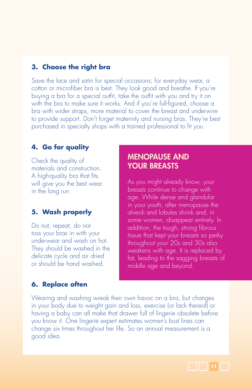### **3. Choose the right bra**

Save the lace and satin for special occasions; for everyday wear, a cotton or microfiber bra is best. They look good and breathe. If you're buying a bra for a special outfit, take the outfit with you and try it on with the bra to make sure it works. And if you're full-figured, choose a bra with wider straps, more material to cover the breast and underwire to provide support. Don't forget maternity and nursing bras. They're best purchased in specialty shops with a trained professional to fit you.

### **4. Go for quality**

Check the quality of materials and construction. A high-quality bra that fits will give you the best wear in the long run.

### **5. Wash properly**

Do not, repeat, do not toss your bras in with your underwear and wash on hot. They should be washed in the delicate cycle and air dried or should be hand washed.

### MENOPAUSE AND YOUR BREASTS

As you might already know, your breasts continue to change with age. While dense and glandular in your youth, after menopause the alveoli and lobules shrink and, in some women, disappear entirely. In addition, the tough, strong fibrous tissue that kept your breasts so perky throughout your 20s and 30s also weakens with age. It is replaced by fat, leading to the sagging breasts of middle age and beyond.

#### **6. Replace often**

Wearing and washing wreak their own havoc on a bra, but changes in your body due to weight gain and loss, exercise (or lack thereof) or having a baby can all make that drawer full of lingerie obsolete before you know it. One lingerie expert estimates women's bust lines can change six times throughout her life. So an annual measurement is a good idea.

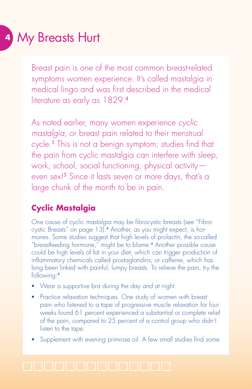# **<sup>4</sup>** My Breasts Hurt

Breast pain is one of the most common breast-related symptoms women experience. It's called mastalgia in medical lingo and was first described in the medical literature as early as 1829.4

As noted earlier, many women experience *cyclic mastalgia*, or breast pain related to their menstrual cycle.<sup>5</sup> This is not a benign symptom; studies find that the pain from cyclic mastalgia can interfere with sleep, work, school, social functioning, physical activity even sex!<sup>5</sup> Since it lasts seven or more days, that's a large chunk of the month to be in pain.

# **Cyclic Mastalgia**

One cause of cyclic mastalgia may be fibrocystic breasts (see "Fibrocystic Breasts" on page 13).4 Another, as you might expect, is hormones. Some studies suggest that high levels of prolactin, the so-called "breastfeeding hormone," might be to blame.<sup>4</sup> Another possible cause could be high levels of fat in your diet, which can trigger production of inflammatory chemicals called prostaglandins; or caffeine, which has long been linked with painful, lumpy breasts. To relieve the pain, try the following:<sup>4</sup>

- Wear a supportive bra during the day *and* at night.
- Practice relaxation techniques. One study of women with breast pain who listened to a tape of progressive muscle relaxation for four weeks found 61 percent experienced a substantial or complete relief of the pain, compared to 25 percent of a control group who didn't listen to the tape.
- Supplement with evening primrose oil. A few small studies find some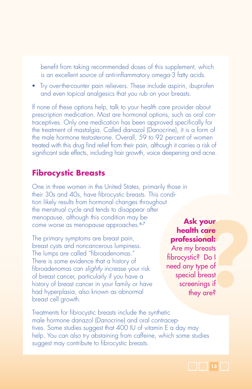benefit from taking recommended doses of this supplement, which is an excellent source of anti-inflammatory omega-3 fatty acids.

 Try over-the-counter pain relievers. These include aspirin, ibuprofen and even topical analgesics that you rub on your breasts.

If none of these options help, talk to your health care provider about prescription medication. Most are hormonal options, such as oral contraceptives. Only one medication has been approved specifically for the treatment of mastalgia. Called danazol (Danocrine), it is a form of the male hormone testosterone. Overall, 59 to 92 percent of women treated with this drug find relief from their pain, although it carries a risk of significant side effects, including hair growth, voice deepening and acne.

## **Fibrocystic Breasts**

One in three women in the United States, primarily those in their 30s and 40s, have fibrocystic breasts. This condition likely results from hormonal changes throughout the menstrual cycle and tends to disappear after menopause, although this condition may become worse as menopause approaches.<sup>6,7</sup>

The primary symptoms are breast pain, breast cysts and noncancerous lumpiness. The lumps are called "fibroadenomas." There is some evidence that a history of fibroadenomas can *slightly* increase your risk of breast cancer, particularly if you have a history of breast cancer in your family or have had hyperplasia, also known as abnormal breast cell growth.

## **Ask your health care professional:**

**your<br>care<br>onal:**<br>reasts<br>? Do I<br>y pe of<br>breast<br>ings if<br>y are? Are my breasts fibrocystic? Do I need any type of special breast screenings if they are?

Treatments for fibrocystic breasts include the synthetic male hormone danazol (Danocrine) and oral contraceptives. Some studies suggest that 400 IU of vitamin E a day may help. You can also try abstaining from caffeine, which some studies suggest may contribute to fibrocystic breasts.

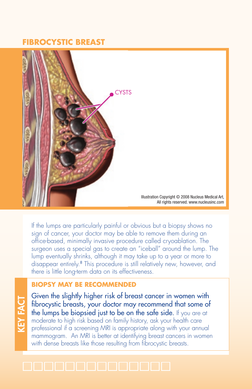## **FIBROCYSTIC BREAST**



If the lumps are particularly painful or obvious but a biopsy shows no sign of cancer, your doctor may be able to remove them during an office-based, minimally invasive procedure called cryoablation. The surgeon uses a special gas to create an "iceball" around the lump. The lump eventually shrinks, although it may take up to a year or more to disappear entirely.<sup>8</sup> This procedure is still relatively new, however, and there is little long-term data on its effectiveness.

### **BIOPSY MAY BE RECOMMENDED**

**KEY FACT** KEY FACT Given the slightly higher risk of breast cancer in women with fibrocystic breasts, your doctor may recommend that some of the lumps be biopsied just to be on the safe side. If you are at moderate to high risk based on family history, ask your health care professional if a screening MRI is appropriate along with your annual mammogram. An MRI is better at identifying breast cancers in women with dense breasts like those resulting from fibrocystic breasts.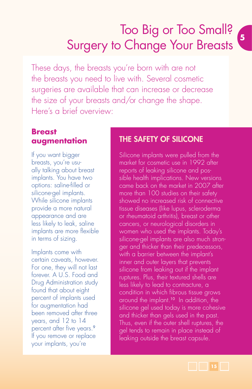# Too Big or Too Small? Surgery to Change Your Breasts **<sup>5</sup>**

These days, the breasts you're born with are not the breasts you need to live with. Several cosmetic surgeries are available that can increase or decrease the size of your breasts and/or change the shape. Here's a brief overview:

# **Breast augmentation**

If you want bigger breasts, you're usually talking about breast implants. You have two options: saline-filled or silicone-gel implants. While silicone implants provide a more natural appearance and are less likely to leak, saline implants are more flexible in terms of sizing.

Implants come with certain caveats, however. For one, they will not last forever. A U.S. Food and Drug Administration study found that about eight percent of implants used for augmentation had been removed after three years, and 12 to 14 percent after five years.<sup>9</sup> If you remove or replace your implants, you're

## The Safety of Silicone

Silicone implants were pulled from the market for cosmetic use in 1992 after reports of leaking silicone and possible health implications. New versions came back on the market in 2007 after more than 100 studies on their safety showed no increased risk of connective tissue diseases (like lupus, scleroderma or rheumatoid arthritis), breast or other cancers, or neurological disorders in women who used the implants. Today's silicone-gel implants are also much stronger and thicker than their predecessors, with a barrier between the implant's inner and outer layers that prevents silicone from leaking out if the implant ruptures. Plus, their textured shells are less likely to lead to contracture, a condition in which fibrous tissue grows around the implant.<sup>10</sup> In addition, the silicone gel used today is more cohesive and thicker than gels used in the past. Thus, even if the outer shell ruptures, the gel tends to remain in place instead of leaking outside the breast capsule.

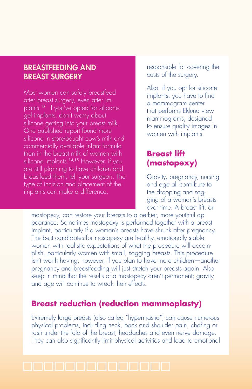### BREASTFEEDING AND BREAST SURGERY

Most women can safely breastfeed after breast surgery, even after implants.13 If you've opted for siliconegel implants, don't worry about silicone getting into your breast milk. One published report found more silicone in store-bought cow's milk and commercially available infant formula than in the breast milk of women with silicone implants.<sup>14,15</sup> However, if you are still planning to have children and breastfeed them, tell your surgeon. The type of incision and placement of the implants can make a difference.

responsible for covering the costs of the surgery.

Also, if you opt for silicone implants, you have to find a mammogram center that performs Eklund view mammograms, designed to ensure quality images in women with implants.

# **Breast lift (mastopexy)**

Gravity, pregnancy, nursing and age all contribute to the drooping and sagging of a woman's breasts over time. A breast lift, or

mastopexy, can restore your breasts to a perkier, more youthful appearance. Sometimes mastopexy is performed together with a breast implant, particularly if a woman's breasts have shrunk after pregnancy. The best candidates for mastopexy are healthy, emotionally stable women with realistic expectations of what the procedure will accomplish, particularly women with small, sagging breasts. This procedure isn't worth having, however, if you plan to have more children—another pregnancy and breastfeeding will just stretch your breasts again. Also keep in mind that the results of a mastopexy aren't permanent; gravity and age will continue to wreak their effects.

# **Breast reduction (reduction mammoplasty)**

Extremely large breasts (also called "hypermastia") can cause numerous physical problems, including neck, back and shoulder pain, chafing or rash under the fold of the breast, headaches and even nerve damage. They can also significantly limit physical activities and lead to emotional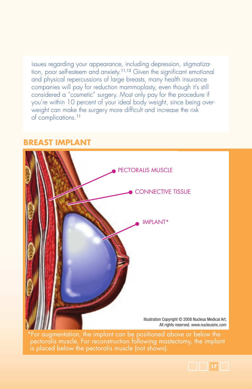issues regarding your appearance, including depression, stigmatization, poor self-esteem and anxiety.11,12 Given the significant emotional and physical repercussions of large breasts, many health insurance companies will pay for reduction mammoplasty, even though it's still considered a "cosmetic" surgery. Most only pay for the procedure if you're within 10 percent of your ideal body weight, since being overweight can make the surgery more difficult and increase the risk of complications.<sup>11</sup>



## **BREAST IMPLANT**

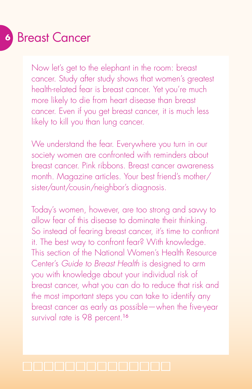# **<sup>6</sup>** Breast Cancer

Now let's get to the elephant in the room: breast cancer. Study after study shows that women's greatest health-related fear is breast cancer. Yet you're much more likely to die from heart disease than breast cancer. Even if you get breast cancer, it is much less likely to kill you than lung cancer.

We understand the fear. Everywhere you turn in our society women are confronted with reminders about breast cancer. Pink ribbons. Breast cancer awareness month. Magazine articles. Your best friend's mother/ sister/aunt/cousin/neighbor's diagnosis.

Today's women, however, are too strong and savvy to allow fear of this disease to dominate their thinking. So instead of fearing breast cancer, it's time to confront it. The best way to confront fear? With knowledge. This section of the National Women's Health Resource Center's *Guide to Breast Health* is designed to arm you with knowledge about your individual risk of breast cancer, what you can do to reduce that risk and the most important steps you can take to identify any breast cancer as early as possible—when the five-year survival rate is 98 percent.<sup>16</sup>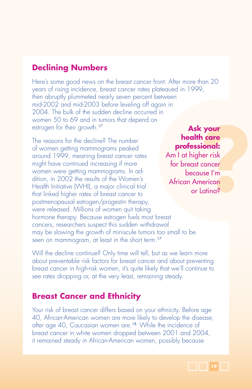# **Declining Numbers**

Here's some good news on the breast cancer front: After more than 20 years of rising incidence, breast cancer rates plateaued in 1999, then abruptly plummeted nearly seven percent between mid-2002 and mid-2003 before leveling off again in 2004. The bulk of the sudden decline occurred in women 50 to 69 and in tumors that depend on estrogen for their growth.<sup>17</sup>

The reasons for the decline? The number of women getting mammograms peaked around 1999, meaning breast cancer rates might have continued increasing if more women were getting mammograms. In addition, in 2002 the results of the Women's Health Initiative (WHI), a major clinical trial that linked higher rates of breast cancer to postmenopausal estrogen/progestin therapy, were released. Millions of women quit taking hormone therapy. Because estrogen fuels most breast cancers, researchers suspect this sudden withdrawal may be slowing the growth of miniscule tumors too small to be seen on mammogram, at least in the short term.<sup>17</sup>

# **Ask your health care professional:**

**k your<br>h care<br>sional:**<br>her risk<br>cancer<br>werican<br>merican<br>Latina? Am I at higher risk for breast cancer because I'm African American or Latina?

Will the decline continue? Only time will tell, but as we learn more about preventable risk factors for breast cancer and about preventing breast cancer in high-risk women, it's quite likely that we'll continue to see rates dropping or, at the very least, remaining steady.

# **Breast Cancer and Ethnicity**

Your risk of breast cancer differs based on your ethnicity. Before age 40, African-American women are more likely to develop the disease; after age 40, Caucasian women are.<sup>18</sup> While the incidence of breast cancer in white women dropped between 2001 and 2004, it remained steady in African-American women, possibly because

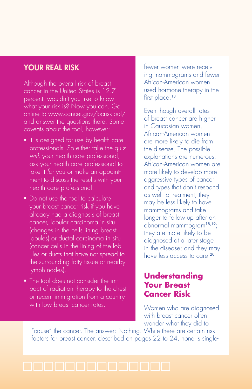## YOUR REAL RISK

Although the overall risk of breast cancer in the United States is 12.7 percent, wouldn't you like to know what your risk is? Now you can. Go online to www.cancer.gov/bcrisktool/ and answer the questions there. Some caveats about the tool, however:

- $\blacksquare$  It is designed for use by health care professionals. So either take the quiz *with* your health care professional, ask your health care professional to take it *for* you or make an appointment to discuss the results with your health care professional.
- Do not use the tool to calculate your breast cancer risk if you have already had a diagnosis of breast cancer, lobular carcinoma in situ (changes in the cells lining breast lobules) or ductal carcinoma in situ (cancer cells in the lining of the lobules or ducts that have not spread to the surrounding fatty tissue or nearby lymph nodes).
- The tool does not consider the impact of radiation therapy to the chest or recent immigration from a country with low breast cancer rates.

fewer women were receiving mammograms and fewer African-American women used hormone therapy in the first place.<sup>18</sup>

Even though overall rates of breast cancer are higher in Caucasian women, African-American women are more likely to die from the disease. The possible explanations are numerous: African-American women are more likely to develop more aggressive types of cancer and types that don't respond as well to treatment; they may be less likely to have mammograms and take longer to follow up after an abnormal mammogram18,19; they are more likely to be diagnosed at a later stage in the disease; and they may have less access to care.<sup>20</sup>

# **Understanding Your Breast Cancer Risk**

Women who are diagnosed with breast cancer often wonder what they did to

"cause" the cancer. The answer: Nothing. While there are certain risk factors for breast cancer, described on pages 22 to 24, none is single-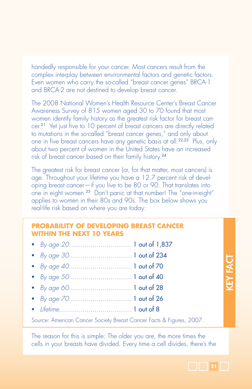handedly responsible for your cancer. Most cancers result from the complex interplay between environmental factors and genetic factors. Even women who carry the so-called "breast cancer genes" BRCA-1 and BRCA-2 are not destined to develop breast cancer.

The 2008 National Women's Health Resource Center's Breast Cancer Awareness Survey of 815 women aged 30 to 70 found that most women identify family history as the greatest risk factor for breast cancer.<sup>21</sup> Yet just five to 10 percent of breast cancers are directly related to mutations in the so-called "breast cancer genes," and only about one in five breast cancers have any genetic basis at all.<sup>22,23</sup> Plus, only about two percent of women in the United States have an increased risk of breast cancer based on their family history.<sup>24</sup>

The greatest risk for breast cancer (or, for that matter, most cancers) is age. Throughout your lifetime you have a 12.7 percent risk of developing breast cancer—if you live to be 80 or 90. That translates into one in eight women.<sup>25</sup> Don't panic at that number! The "one-in-eight" applies to women in their 80s and 90s. The box below shows you real-life risk based on where you are today:

#### **Probability of Developing Breast Cancer Within the Next 10 Years**

- *By age 20*................................ 1 out of 1,837
- *By age 30*................................ 1 out of 234
- *By age 40*................................ 1 out of 70
- *By age 50* ............................... 1 out of 40
- *By age 60*................................ 1 out of 28
- *By age 70*................................ 1 out of 26
- *Lifetime*..................................... 1 out of 8

Source: American Cancer Society Breast Cancer Facts & Figures, 2007.

The reason for this is simple: The older you are, the more times the cells in your breasts have divided. Every time a cell divides, there's the KEY FACT KEY FACT

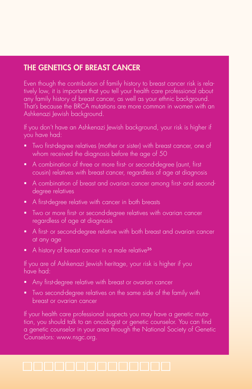# THE GENETICS OF BREAST CANCER

Even though the contribution of family history to breast cancer risk is relatively low, it is important that you tell your health care professional about any family history of breast cancer, as well as your ethnic background. That's because the BRCA mutations are more common in women with an Ashkenazi Jewish background.

If you don't have an Ashkenazi Jewish background, your risk is higher if you have had:

- **Two first-degree relatives (mother or sister) with breast cancer, one of** whom received the diagnosis before the age of 50
- A combination of three or more first- or second-degree (aunt, first cousin) relatives with breast cancer, regardless of age at diagnosis
- A combination of breast and ovarian cancer among first- and seconddegree relatives
- A first-degree relative with cancer in both breasts
- Two or more first- or second-degree relatives with ovarian cancer regardless of age at diagnosis
- A first- or second-degree relative with both breast and ovarian cancer at any age
- A history of breast cancer in a male relative<sup>26</sup>

If you are of Ashkenazi Jewish heritage, your risk is higher if you have had:

- Any first-degree relative with breast or ovarian cancer
- Two second-degree relatives on the same side of the family with breast or ovarian cancer

If your health care professional suspects you may have a genetic mutation, you should talk to an oncologist or genetic counselor. You can find a genetic counselor in your area through the National Society of Genetic Counselors: www.nsgc.org.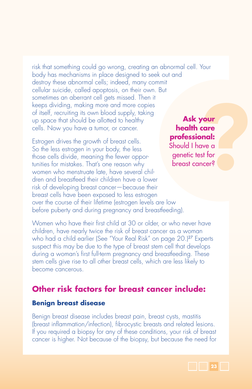risk that something could go wrong, creating an abnormal cell. Your body has mechanisms in place designed to seek out and destroy these abnormal cells; indeed, many commit cellular suicide, called apoptosis, on their own. But sometimes an aberrant cell gets missed. Then it keeps dividing, making more and more copies of itself, recruiting its own blood supply, taking up space that should be allotted to healthy cells. Now you have a tumor, or cancer. **Ask your** 

Estrogen drives the growth of breast cells. So the less estrogen in your body, the less those cells divide, meaning the fewer opportunities for mistakes. That's one reason why women who menstruate late, have several children and breastfeed their children have a lower risk of developing breast cancer—because their breast cells have been exposed to less estrogen over the course of their lifetime (estrogen levels are low before puberty and during pregnancy and breastfeeding).

Women who have their first child at 30 or older, or who never have children, have nearly twice the risk of breast cancer as a woman who had a child earlier (See "Your Real Risk" on page 20.)<sup>27</sup> Experts suspect this may be due to the type of breast stem cell that develops during a woman's first full-term pregnancy and breastfeeding. These stem cells give rise to all other breast cells, which are less likely to become cancerous.

# **Other risk factors for breast cancer include:**

#### **Benign breast disease**

Benign breast disease includes breast pain, breast cysts, mastitis (breast inflammation/infection), fibrocystic breasts and related lesions. If you required a biopsy for any of these conditions, your risk of breast cancer is higher. Not because of the biopsy, but because the need for

your<br>
care<br>
ave a<br>
ast for<br>
mcer? **health care professional:** Should I have a genetic test for breast cancer?

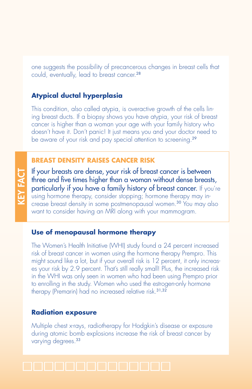one suggests the possibility of precancerous changes in breast cells that could, eventually, lead to breast cancer.<sup>28</sup>

### **Atypical ductal hyperplasia**

This condition, also called atypia, is overactive growth of the cells lining breast ducts. If a biopsy shows you have atypia, your risk of breast cancer is higher than a woman your age with your family history who doesn't have it. Don't panic! It just means you and your doctor need to be aware of your risk and pay special attention to screening.<sup>29</sup>

#### **Breast density RAISES CANCER RISK**

If your breasts are dense, your risk of breast cancer is between three and five times higher than a woman without dense breasts, particularly if you have a family history of breast cancer. If you're using hormone therapy, consider stopping; hormone therapy may increase breast density in some postmenopausal women.<sup>30</sup> You may also want to consider having an MRI along with your mammogram.

#### **Use of menopausal hormone therapy**

The Women's Health Initiative (WHI) study found a 24 percent increased risk of breast cancer in women using the hormone therapy Prempro. This might sound like a lot, but if your overall risk is 12 percent, it only increases your risk by 2.9 percent. That's still really small! Plus, the increased risk in the WHI was only seen in women who had been using Prempro prior to enrolling in the study. Women who used the estrogen-only hormone therapy (Premarin) had no increased relative risk.31,32

#### **Radiation exposure**

Multiple chest x-rays, radiotherapy for Hodgkin's disease or exposure during atomic bomb explosions increase the risk of breast cancer by varying degrees.<sup>33</sup>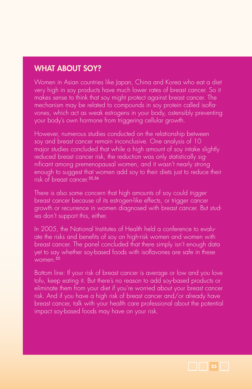# WHAT ABOUT SOY?

Women in Asian countries like Japan, China and Korea who eat a diet very high in soy products have much lower rates of breast cancer. So it makes sense to think that soy might protect against breast cancer. The mechanism may be related to compounds in soy protein called isoflavones, which act as weak estrogens in your body, ostensibly preventing your body's own hormone from triggering cellular growth.

However, numerous studies conducted on the relationship between soy and breast cancer remain inconclusive. One analysis of 10 major studies concluded that while a high amount of soy intake slightly reduced breast cancer risk, the reduction was only statistically significant among premenopausal women, and it wasn't nearly strong enough to suggest that women add soy to their diets just to reduce their risk of breast cancer.35,36

There is also some concern that high amounts of soy could *trigger*  breast cancer because of its estrogen-like effects, or trigger cancer growth or recurrence in women diagnosed with breast cancer. But studies don't support this, either.

In 2005, the National Institutes of Health held a conference to evaluate the risks and benefits of soy on high-risk women and women with breast cancer. The panel concluded that there simply isn't enough data yet to say whether soy-based foods with isoflavones are safe in these  $W$ omen.<sup>35</sup>

Bottom line: If your risk of breast cancer is average or low and you love tofu, keep eating it. But there's no reason to add soy-based products or eliminate them from your diet if you're worried about your breast cancer risk. And if you have a high risk of breast cancer and/or already have breast cancer, talk with your health care professional about the potential impact soy-based foods may have on your risk.

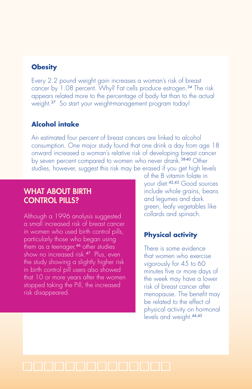### **Obesity**

Every 2.2 pound weight gain increases a woman's risk of breast cancer by 1.08 percent. Why? Fat cells produce estrogen.<sup>34</sup> The risk appears related more to the percentage of body fat than to the actual weight.<sup>37</sup> So start your weight-management program today!

### **Alcohol intake**

An estimated four percent of breast cancers are linked to alcohol consumption. One major study found that one drink a day from age 18 onward increased a woman's relative risk of developing breast cancer by seven percent compared to women who never drank.38-40 Other studies, however, suggest this risk may be erased if you get high levels

## WHAT ABOUT BIRTH CONTROL PILLS?

Although a 1996 analysis suggested a small increased risk of breast cancer in women who used birth control pills, particularly those who began using them as a teenager,<sup>46</sup> other studies show no increased risk.<sup>47</sup> Plus, even the study showing a slightly higher risk in birth control pill users also showed that 10 or more years after the women stopped taking the Pill, the increased risk disappeared.

of the B vitamin folate in your diet.42,43 Good sources include whole grains, beans and legumes and dark green, leafy vegetables like collards and spinach.

### **Physical activity**

There is some evidence that women who exercise vigorously for 45 to 60 minutes five or more days of the week may have a lower risk of breast cancer after menopause. The benefit may be related to the effect of physical activity on hormonal levels and weight.44,45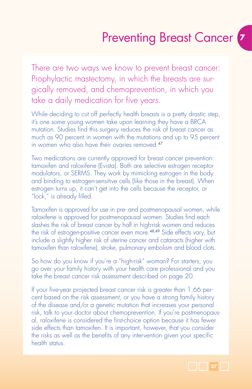# Preventing Breast Cancer **<sup>7</sup>**

There are two ways we know to prevent breast cancer: Prophylactic mastectomy, in which the breasts are surgically removed, and chemoprevention, in which you take a daily medication for five years.

While deciding to cut off perfectly health breasts is a pretty drastic step, it's one some young women take upon learning they have a BRCA mutation. Studies find this surgery reduces the risk of breast cancer as much as 90 percent in women with the mutations and up to 95 percent in women who also have their ovaries removed.<sup>47</sup>

Two medications are currently approved for breast cancer prevention: tamoxifen and raloxifene (Evista). Both are selective estrogen receptor modulators, or SERMS. They work by mimicking estrogen in the body and binding to estrogen-sensitive cells (like those in the breast). When estrogen turns up, it can't get into the cells because the receptor, or "lock," is already filled.

Tamoxifen is approved for use in pre- and postmenopausal women, while raloxifene is approved for postmenopausal women. Studies find each slashes the risk of breast cancer by half in high-risk women and reduces the risk of estrogen-positive cancer even more.48,49 Side effects vary, but include a slightly higher risk of uterine cancer and cataracts (higher with tamoxifen than raloxifene), stroke, pulmonary embolism and blood clots.

So how do you know if you're a "high-risk" woman? For starters, you go over your family history with your health care professional and you take the breast cancer risk assessment described on page 20.

If your five-year projected breast cancer risk is greater than 1.66 percent based on the risk assessment, or you have a strong family history of the disease and/or a genetic mutation that increases your personal risk, talk to your doctor about chemoprevention. If you're postmenopausal, raloxifene is considered the first-choice option because it has fewer side effects than tamoxifen. It is important, however, that you consider the risks as well as the benefits of any intervention given your specific health status.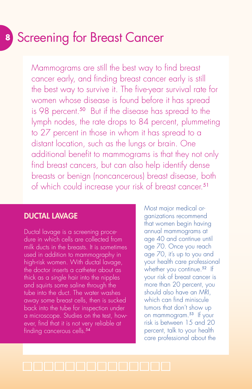# **<sup>8</sup>** Screening for Breast Cancer

Mammograms are still the best way to find breast cancer early, and finding breast cancer early is still the best way to survive it. The five-year survival rate for women whose disease is found before it has spread is 98 percent.<sup>50</sup> But if the disease has spread to the lymph nodes, the rate drops to 84 percent, plummeting to 27 percent in those in whom it has spread to a distant location, such as the lungs or brain. One additional benefit to mammograms is that they not only find breast cancers, but can also help identify dense breasts or benign (noncancerous) breast disease, both of which could increase your risk of breast cancer.<sup>51</sup>

## DUCTAL LAVAGE

Ductal lavage is a screening procedure in which cells are collected from milk ducts in the breasts. It is sometimes used in addition to mammography in high-risk women. With ductal lavage, the doctor inserts a catheter about as thick as a single hair into the nipples and squirts some saline through the tube into the duct. The water washes away some breast cells, then is sucked back into the tube for inspection under a microscope. Studies on the test, however, find that it is not very reliable at finding cancerous cells.<sup>54</sup>

Most major medical organizations recommend that women begin having annual mammograms at age 40 and continue until age 70. Once you reach age 70, it's up to you and your health care professional whether you continue.<sup>52</sup> If your risk of breast cancer is more than 20 percent, you should also have an MRI, which can find miniscule tumors that don't show up on mammogram.<sup>53</sup> If your risk is between 15 and 20 percent, talk to your health care professional about the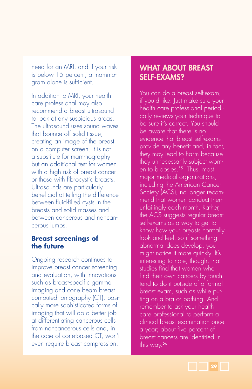need for an MRI, and if your risk is below 15 percent, a mammogram alone is sufficient.

In addition to MRI, your health care professional may also recommend a breast ultrasound to look at any suspicious areas. The ultrasound uses sound waves that bounce off solid tissue, creating an image of the breast on a computer screen. It is not a substitute for mammography but an additional test for women with a high risk of breast cancer or those with fibrocystic breasts. Ultrasounds are particularly beneficial at telling the difference between fluid-filled cysts in the breasts and solid masses and between cancerous and noncancerous lumps.

#### **Breast screenings of the future**

Ongoing research continues to improve breast cancer screening and evaluation, with innovations such as breast-specific gamma imaging and cone beam breast computed tomography (CT), basically more sophisticated forms of imaging that will do a better job at differentiating cancerous cells from noncancerous cells and, in the case of cone-based CT, won't even require breast compression.

# WHAT ABOUT BREAST SELF-EXAMS?

You can do a breast self-exam, if you'd like. Just make sure your health care professional periodically reviews your technique to be sure it's correct. You should be aware that there is no evidence that breast self-exams provide any benefit and, in fact, they may lead to harm because they unnecessarily subject women to biopsies.<sup>55</sup> Thus, most major medical organizations, including the American Cancer Society (ACS), no longer recommend that women conduct them unfailingly each month. Rather, the ACS suggests regular breast self-exams as a way to get to know how your breasts normally look and feel, so if something abnormal does develop, you might notice it more quickly. It's interesting to note, though, that studies find that women who find their own cancers by touch tend to do it outside of a formal breast exam, such as while putting on a bra or bathing. And remember to ask your health care professional to perform a clinical breast examination once a year; about five percent of breast cancers are identified in this way.56

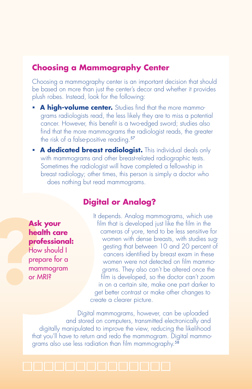## **Choosing a Mammography Center**

Choosing a mammography center is an important decision that should be based on more than just the center's decor and whether it provides plush robes. Instead, look for the following:

- **A high-volume center.** Studies find that the more mammograms radiologists read, the less likely they are to miss a potential cancer. However, this benefit is a two-edged sword; studies also find that the more mammograms the radiologist reads, the greater the risk of a false-positive reading.<sup>57</sup>
- **A dedicated breast radiologist.** This individual deals only with mammograms and other breast-related radiographic tests. Sometimes the radiologist will have completed a fellowship in breast radiology; other times, this person is simply a doctor who does nothing but read mammograms.

## **Digital or Analog?**

Ask<br>
hec<br>
pro<br>
Hov<br>
pre mar<br>
or  $\Lambda$ **Ask your health care professional:** How should I

prepare for a mammogram or MRI?

It depends. Analog mammograms, which use film that is developed just like the film in the cameras of yore, tend to be less sensitive for women with dense breasts, with studies suggesting that between 10 and 20 percent of cancers identified by breast exam in these women were not detected on film mammograms. They also can't be altered once the film is developed, so the doctor can't zoom in on a certain site, make one part darker to get better contrast or make other changes to create a clearer picture.

Digital mammograms, however, can be uploaded and stored on computers, transmitted electronically and digitally manipulated to improve the view, reducing the likelihood that you'll have to return and redo the mammogram. Digital mammograms also use less radiation than film mammography.<sup>58</sup>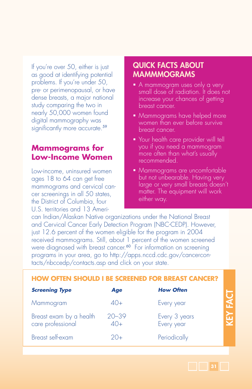If you're over 50, either is just as good at identifying potential problems. If you're under 50, pre- or perimenopausal, or have dense breasts, a major national study comparing the two in nearly 50,000 women found digital mammography was significantly more accurate.<sup>59</sup>

# **Mammograms for Low-Income Women**

Low-income, uninsured women ages 18 to 64 can get free mammograms and cervical cancer screenings in all 50 states, the District of Columbia, four U.S. territories and 13 Ameri-

# QUICK FACTS ABOUT MAMMMOGRAMs

- A mammogram uses only a very small dose of radiation. It does not increase your chances of getting breast cancer.
- Mammograms have helped more women than ever before survive breast cancer.
- **Your health care provider will tell** you if you need a mammogram more often than what's usually recommended.
- Mammograms are uncomfortable but not unbearable. Having very large or very small breasts doesn't matter. The equipment will work either way.

can Indian/Alaskan Native organizations under the National Breast and Cervical Cancer Early Detection Program (NBC-CEDP). However, just 12.6 percent of the women eligible for the program in 2004 received mammograms. Still, about 1 percent of the women screened were diagnosed with breast cancer.<sup>60</sup> For information on screening programs in your area, go to http://apps.nccd.cdc.gov/cancercontacts/nbccedp/contacts.asp and click on your state.

| <b>HOW OFTEN SHOULD I BE SCREENED FOR BREAST CANCER?</b> |                          |                             |   |
|----------------------------------------------------------|--------------------------|-----------------------------|---|
| <b>Screening Type</b>                                    | Age                      | <b>How Often</b>            |   |
| Mammogram                                                | $40+$                    | Every year                  |   |
| Breast exam by a health<br>care professional             | $20 - 39$<br>$\Delta$ O+ | Every 3 years<br>Every year | ₩ |
| Breast self-exam                                         | 20+                      | Periodically                |   |

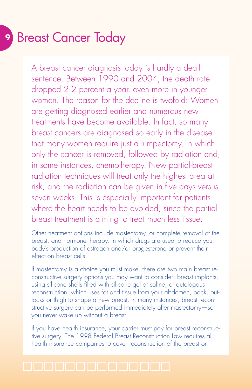# **<sup>9</sup>** Breast Cancer Today

A breast cancer diagnosis today is hardly a death sentence. Between 1990 and 2004, the death rate dropped 2.2 percent a year, even more in younger women. The reason for the decline is twofold: Women are getting diagnosed earlier and numerous new treatments have become available. In fact, so many breast cancers are diagnosed so early in the disease that many women require just a lumpectomy, in which only the cancer is removed, followed by radiation and, in some instances, chemotherapy. New partial-breast radiation techniques will treat only the highest area at risk, and the radiation can be given in five days versus seven weeks. This is especially important for patients where the heart needs to be avoided, since the partial breast treatment is aiming to treat much less tissue.

Other treatment options include mastectomy, or complete removal of the breast, and hormone therapy, in which drugs are used to reduce your body's production of estrogen and/or progesterone or prevent their effect on breast cells.

If mastectomy is a choice you must make, there are two main breast reconstructive surgery options you may want to consider: breast implants, using silicone shells filled with silicone gel or saline, or autologous reconstruction, which uses fat and tissue from your abdomen, back, buttocks or thigh to shape a new breast. In many instances, breast reconstructive surgery can be performed immediately after mastectomy—so you never wake up without a breast.

If you have health insurance, your carrier must pay for breast reconstructive surgery. The 1998 Federal Breast Reconstruction Law requires all health insurance companies to cover reconstruction of the breast on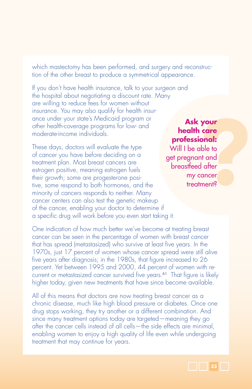which mastectomy has been performed, and surgery and reconstruction of the other breast to produce a symmetrical appearance.

If you don't have health insurance, talk to your surgeon and the hospital about negotiating a discount rate. Many are willing to reduce fees for women without insurance. You may also qualify for health insurance under your state's Medicaid program or other health-coverage programs for low- and moderate-income individuals.

These days, doctors will evaluate the type of cancer you have before deciding on a treatment plan. Most breast cancers are estrogen positive, meaning estrogen fuels their growth; some are progesterone positive, some respond to both hormones, and the minority of cancers responds to neither. Many cancer centers can also test the genetic makeup of the cancer, enabling your doctor to determine if a specific drug will work before you even start taking it.

**your<br>
index**<br> **index**<br> **index**<br> **d**<br> **d**<br> **d**<br> **concer**<br> **concer**<br> **ment? Ask your health care professional:** Will I be able to get pregnant and breastfeed after my cancer treatment?

One indication of how much better we've become at treating breast cancer can be seen in the percentage of women with breast cancer that has spread (metastasized) who survive at least five years. In the 1970s, just 17 percent of women whose cancer spread were still alive five years after diagnosis; in the 1980s, that figure increased to 26 percent. Yet between 1995 and 2000, 44 percent of women with recurrent or metastasized cancer survived five years.<sup>61</sup> That figure is likely higher today, given new treatments that have since become available.

All of this means that doctors are now treating breast cancer as a chronic disease, much like high blood pressure or diabetes. Once one drug stops working, they try another or a different combination. And since many treatment options today are targeted—meaning they go after the cancer cells instead of all cells—the side effects are minimal, enabling women to enjoy a high quality of life even while undergoing treatment that may continue for years.

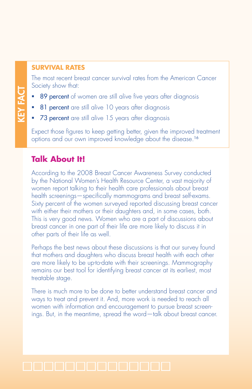#### **Survival Rates**

The most recent breast cancer survival rates from the American Cancer Society show that:

- 89 percent of women are still alive five years after diagnosis
- **81 percent** are still alive 10 years after diagnosis
- 73 percent are still alive 15 years after diagnosis

Expect those figures to keep getting better, given the improved treatment options and our own improved knowledge about the disease.<sup>16</sup>

# **Talk About It!**

According to the 2008 Breast Cancer Awareness Survey conducted by the National Women's Health Resource Center, a vast majority of women report talking to their health care professionals about breast health screenings—specifically mammograms and breast self-exams. Sixty percent of the women surveyed reported discussing breast cancer with either their mothers or their daughters and, in some cases, both. This is very good news. Women who are a part of discussions about breast cancer in one part of their life are more likely to discuss it in other parts of their life as well.

Perhaps the best news about these discussions is that our survey found that mothers and daughters who discuss breast health with each other are more likely to be up-to-date with their screenings. Mammography remains our best tool for identifying breast cancer at its earliest, most treatable stage.

There is much more to be done to better understand breast cancer and ways to treat and prevent it. And, more work is needed to reach all women with information and encouragement to pursue breast screenings. But, in the meantime, spread the word—talk about breast cancer.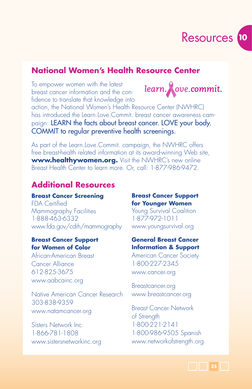

learn. **A**ove.commit.

# **National Women's Health Resource Center**

To empower women with the latest breast cancer information and the confidence to translate that knowledge into

action, the National Women's Health Resource Center (NWHRC) has introduced the Learn.Love.Commit. breast cancer awareness campaign: LEARN the facts about breast cancer. LOVE your body. COMMIT to regular preventive health screenings.

As part of the Learn.Love.Commit. campaign, the NWHRC offers free breast-health related information at its award-winning Web site, **www.healthywomen.org.** Visit the NWHRC's new online Breast Health Center to learn more. Or, call: 1-877-986-9472.

# **Additional Resources**

#### **Breast Cancer Screening**

FDA Certified Mammography Facilities 1-888-463-6332 www.fda.gov/cdrh/mammography

#### **Breast Cancer Support for Women of Color**

African-American Breast Cancer Alliance 612-825-3675 www.aabcainc.org

Native American Cancer Research 303-838-9359 www.natamcancer.org

Sisters Network Inc. 1-866-781-1808 www.sistersnetworkinc.org

#### **Breast Cancer Support for Younger Women**

Young Survival Coalition 1-877-972-1011 www.youngsurvival.org

#### **General Breast Cancer Information & Support**

American Cancer Society 1-800-227-2345 www.cancer.org

Breastcancer.org www.breastcancer.org

Breast Cancer Network of Strength 1-800-221-2141 1-800-986-9505 Spanish www.networkofstrength.org

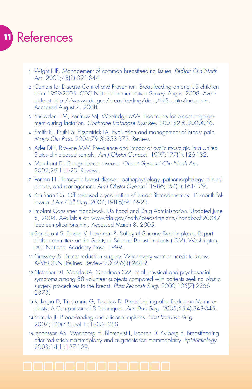# **<sup>11</sup>** References

- <sup>1</sup> Wight NE. Management of common breastfeeding issues. *Pediatr Clin North Am.* 2001;48(2):321-344.
- <sup>2</sup> Centers for Disease Control and Prevention. Breastfeeding among US children born 1999-2005. CDC National Immunization Survey. August 2008. Available at: http://www.cdc.gov/breastfeeding/data/NIS\_data/index.htm. Accessed August 7, 2008.
- <sup>3</sup> Snowden HM, Renfrew MJ, Woolridge MW. Treatments for breast engorgement during lactation. *Cochrane Database Syst Rev.* 2001;(2):CD000046.
- <sup>4</sup> Smith RL, Pruthi S, Fitzpatrick LA. Evaluation and management of breast pain. *Mayo Clin Proc.* 2004;79(3):353-372. Review.
- <sup>5</sup> Ader DN, Browne MW. Prevalence and impact of cyclic mastalgia in a United States clinic-based sample. *Am J Obstet Gynecol.* 1997;177(1):126-132.
- <sup>6</sup> Marchant DJ. Benign breast disease. *Obstet Gynecol Clin North Am.*  2002;29(1):1-20. Review.
- <sup>7</sup> Vorherr H. Fibrocystic breast disease: pathophysiology, pathomorphology, clinical picture, and management. *Am J Obstet Gynecol.* 1986;154(1):161-179.
- 8 Kaufman CS. Office-based cryoablation of breast fibroadenomas: 12-month followup. *J Am Coll Surg.* 2004;198(6):914-923.
- <sup>9</sup> Implant Consumer Handbook. US Food and Drug Administration. Updated June 8, 2004. Available at: www.fda.gov/cdrh/breastimplants/handbook2004/ localcomplications.htm. Accessed March 8, 2005.
- <sup>10</sup> Bondurant S, Ernster V, Herdman R. Safety of Silicone Brest Implants, Report of the committee on the Safety of Silicone Breast Implants (IOM). Washington, DC: National Academy Press. 1999.
- <sup>11</sup> Grassley JS. Breast reduction surgery. What every woman needs to know. AWHONN Lifelines. Review 2002;6(3):244-9.
- <sup>12</sup> Netscher DT, Meade RA, Goodman CM, et al. Physical and psychosocial symptoms among 88 volunteer subjects compared with patients seeking plastic surgery procedures to the breast. *Plast Reconstr Surg.* 2000;105(7):2366- 2373.
- <sup>13</sup> Kakagia D, Tripsiannis G, Tsoutsos D. Breastfeeding after Reduction Mammaplasty: A Comparison of 3 Techniques. *Ann Plast Surg.* 2005;55(4):343-345.
- <sup>14</sup> Semple JL. Breast-feeding and silicone implants. *Plast Reconstr Surg.* 2007;120(7 Suppl 1):123S-128S.
- <sup>15</sup> Johansson AS, Wennborg H, Blomqvist L, Isacson D, Kylberg E. Breastfeeding after reduction mammaplasty and augmentation mammaplasty. *Epidemiology.*  2003;14(1):127-129.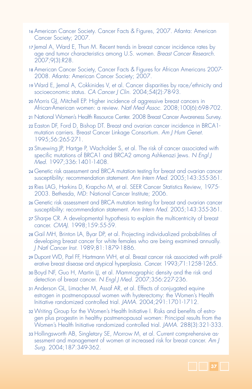- <sup>16</sup> American Cancer Society. Cancer Facts & Figures, 2007. Atlanta: American Cancer Society; 2007.
- 17 Jemal A, Ward E, Thun M. Recent trends in breast cancer incidence rates by age and tumor characteristics among U.S. women. *Breast Cancer Research.* 2007;9(3):R28.
- <sup>18</sup> American Cancer Society, Cancer Facts & Figures for African Americans 2007- 2008. Atlanta: American Cancer Society; 2007.
- <sup>19</sup> Ward E, Jemal A, Cokkinides V, et al. Cancer disparities by race/ethnicity and socioeconomic status. *CA Cancer J Clin.* 2004;54(2):78-93.
- <sup>20</sup> Morris GJ, Mitchell EP. Higher incidence of aggressive breast cancers in African-American women: a review. *Natl Med Assoc.* 2008;100(6):698-702.
- <sup>21</sup> National Women's Health Resource Center. 2008 Breast Cancer Awareness Survey.
- <sup>22</sup> Easton DF, Ford D, Bishop DT. Breast and ovarian cancer incidence in BRCA1 mutation carriers. Breast Cancer Linkage Consortium. *Am J Hum Genet.* 1995;56:265-271.
- <sup>23</sup> Struewing JP, Hartge P, Wacholder S, et al. The risk of cancer associated with specific mutations of BRCA1 and BRCA2 among Ashkenazi Jews. *N Engl J Med.* 1997;336:1401-1408.
- <sup>24</sup> Genetic risk assessment and BRCA mutation testing for breast and ovarian cancer susceptibility: recommendation statement. *Ann Intern Med.* 2005;143:355-361.
- <sup>25</sup> Ries LAG, Harkins D, Krapcho M, et al. SEER Cancer Statistics Review, 1975- 2003. Bethesda, MD: National Cancer Institute; 2006.
- <sup>26</sup> Genetic risk assessment and BRCA mutation testing for breast and ovarian cancer susceptibility: recommendation statement. *Ann Intern Med.* 2005;143:355-361.
- <sup>27</sup> Sharpe CR. A developmental hypothesis to explain the multicentricity of breast cancer. *CMAJ.* 1998;159:55-59.
- <sup>28</sup> Gail MH, Brinton LA, Byar DP, et al. Projecting individualized probabilities of developing breast cancer for white females who are being examined annually. *J Natl Cancer Inst.* 1989;81:1879-1886.
- <sup>29</sup> Dupont WD, Parl FF, Hartmann WH, et al. Breast cancer risk associated with proliferative breast disease and atypical hyperplasia. *Cancer.* 1993;71:1258-1265.
- <sup>30</sup> Boyd NF, Guo H, Martin LJ, et al. Mammographic density and the risk and detection of breast cancer. *N Engl J Med.* 2007;356:227-236.
- <sup>31</sup> Anderson GL, Limacher M, Assaf AR, et al. Effects of conjugated equine estrogen in postmenopausal women with hysterectomy: the Women's Health Initiative randomized controlled trial. *JAMA.* 2004;291:1701-1712.
- <sup>32</sup> Writing Group for the Women's Health Initiative I. Risks and benefits of estrogen plus progestin in healthy postmenopausal women: Principal results from the Women's Health Initiative randomized controlled trial. *JAMA.* 288(3):321-333.
- <sup>33</sup> Hollingsworth AB, Singletary SE, Morrow M, et al. Current comprehensive assessment and management of women at increased risk for breast cancer. *Am J Surg.* 2004;187:349-362.

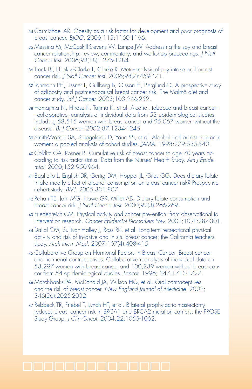- <sup>34</sup> Carmichael AR. Obesity as a risk factor for development and poor prognosis of breast cancer. *BJOG.* 2006;113:1160-1166.
- <sup>35</sup> Messina M, McCaskill-Stevens W, Lampe JW. Addressing the soy and breast cancer relationship: review, commentary, and workshop proceedings. *J Natl Cancer Inst.* 2006;98(18):1275-1284.
- <sup>36</sup> Trock BJ, Hilakivi-Clarke L, Clarke R. Meta-analysis of soy intake and breast cancer risk. *J Natl Cancer Inst.* 2006;98(7):459-471.
- <sup>37</sup> Lahmann PH, Lissner L, Gullberg B, Olsson H, Berglund G. A prospective study of adiposity and postmenopausal breast cancer risk: The Malmö diet and cancer study. *Intl J Cancer.* 2003;103:246-252.
- <sup>38</sup> Hamajima N, Hirose K, Tajima K, et al. Alcohol, tobacco and breast cancer– –collaborative reanalysis of individual data from 53 epidemiological studies, including 58,515 women with breast cancer and 95,067 women without the disease. *Br J Cancer.* 2002;87:1234-1245.
- <sup>39</sup> Smith-Warner SA, Spiegelman D, Yaun SS, et al. Alcohol and breast cancer in women: a pooled analysis of cohort studies. *JAMA.* 1998;279:535-540.
- <sup>40</sup> Colditz GA, Rosner B. Cumulative risk of breast cancer to age 70 years according to risk factor status: Data from the Nurses' Health Study. *Am J Epidemiol.* 2000;152:950-964.
- <sup>41</sup> Baglietto L, English DR, Gertig DM, Hopper JL, Giles GG. Does dietary folate intake modify effect of alcohol consumption on breast cancer risk? Prospective cohort study. *BMJ.* 2005;331:807.
- <sup>42</sup> Rohan TE, Jain MG, Howe GR, Miller AB. Dietary folate consumption and breast cancer risk. *J Natl Cancer Inst.* 2000;92(3):266-269.
- <sup>43</sup> Friedenreich CM. Physical activity and cancer prevention: from observational to intervention research. *Cancer Epidemiol Biomarkers Prev.* 2001;10(4):287-301.
- <sup>44</sup> Dallal CM, Sullivan-Halley J, Ross RK, et al. Long-term recreational physical activity and risk of invasive and in situ breast cancer: the California teachers study. *Arch Intern Med.* 2007;167(4):408-415.
- <sup>45</sup> Collaborative Group on Hormonal Factors in Breast Cancer. Breast cancer and hormonal contraceptives: Collaborative reanalysis of individual data on 53,297 women with breast cancer and 100,239 women without breast cancer from 54 epidemiological studies. *Lancet.* 1996; 347:1713-1727.
- <sup>46</sup> Marchbanks PA, McDonald JA, Wilson HG, et al. Oral contraceptives and the risk of breast cancer. *New England Journal of Medicine.* 2002; 346(26):2025-2032.
- <sup>47</sup> Rebbeck TR, Friebel T, Lynch HT, et al. Bilateral prophylactic mastectomy reduces breast cancer risk in BRCA1 and BRCA2 mutation carriers: the PROSE Study Group. *J Clin Oncol.* 2004;22:1055-1062.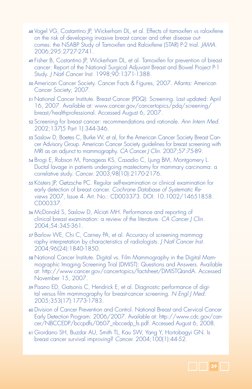- <sup>48</sup> Vogel VG, Costantino JP, Wickerham DL, et al. Effects of tamoxifen vs raloxifene on the risk of developing invasive breast cancer and other disease outcomes: the NSABP Study of Tamoxifen and Raloxifene (STAR) P-2 trial. *JAMA.* 2006;295:2727-2741.
- <sup>49</sup> Fisher B, Costantino JP, Wickerham DL, et al. Tamoxifen for prevention of breast cancer: Report of the National Surgical Adjuvant Breast and Bowel Project P-1 Study. *J Natl Cancer Inst.* 1998;90:1371-1388.
- <sup>50</sup> American Cancer Society. Cancer Facts & Figures, 2007. Atlanta: American Cancer Society; 2007.
- <sup>51</sup> National Cancer Institute. Breast Cancer (PDQ): Screening. Last updated: April 16, 2007. Available at: www.cancer.gov/cancertopics/pdq/screening/ breast/healthprofessional. Accessed August 6, 2007.
- <sup>52</sup> Screening for breast cancer: recommendations and rationale. *Ann Intern Med.* 2002;137(5 Part 1):344-346.
- <sup>53</sup> Saslow D, Boetes C, Burke W, et al, for the American Cancer Society Breast Cancer Advisory Group. American Cancer Society guidelines for breast screening with MRI as an adjunct to mammography. *CA Cancer J Clin.* 2007;57:75-89.
- <sup>54</sup> Brogi E, Robson M, Panageas KS, Casadio C, Ljung BM, Montgomery L. Ductal lavage in patients undergoing mastectomy for mammary carcinoma: a correlative study. *Cancer.* 2003;98(10):2170-2176.
- <sup>55</sup> Kösters JP, Gøtzsche PC. Regular self-examination or clinical examination for early detection of breast cancer. *Cochrane Database of Systematic Reviews* 2007, Issue 4. Art. No.: CD003373. DOI: 10.1002/14651858. CD00337.
- <sup>56</sup> McDonald S, Saslow D, Alciati MH. Performance and reporting of clinical breast examination: a review of the literature. *CA Cancer J Clin.*  2004;54:345-361.
- <sup>57</sup> Barlow WE, Chi C, Carney PA, et al. Accuracy of screening mammography interpretation by characteristics of radiologists. *J Natl Cancer Inst.*  2004;96(24):1840-1850.
- <sup>58</sup> National Cancer Institute. Digital vs. Film Mammography in the Digital Mammographic Imaging Screening Trial (DMIST): Questions and Answers. Available at: http://www.cancer.gov/cancertopics/factsheet/DMISTQandA. Accessed November 15, 2007.
- <sup>59</sup> Pisano ED, Gatsonis C, Hendrick E, et al. Diagnostic performance of digital versus film mammography for breast-cancer screening. *N Engl J Med.*  2005;353(17):1773-1783.
- <sup>60</sup> Division of Cancer Prevention and Control. National Breast and Cervical Cancer Early Detection Program: 2006/2007. Available at: http://www.cdc.gov/cancer/NBCCEDP/bccpdfs/0607\_nbccedp\_fs.pdf. Accessed August 6, 2008.
- <sup>61</sup> Giordano SH, Buzdar AU, Smith TL, Kau SW, Yang Y, Hortobagyi GN. Is breast cancer survival improving? *Cancer.* 2004;100(1):44-52.